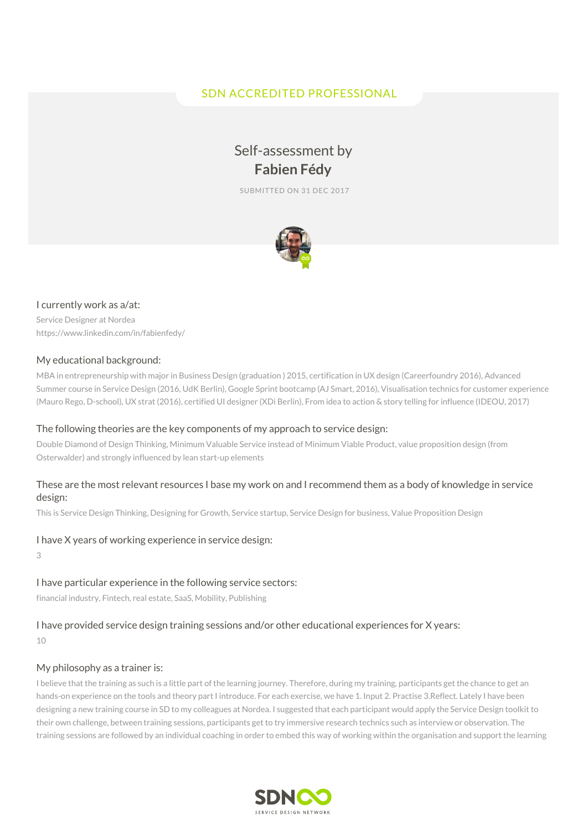# SDN ACCREDITED PROFESSIONAL

# Self-assessment by **Fabien Fédy**

SUBMITTED ON 31 DEC 2017



#### I currently work as a/at:

Service Designer at Nordea https://www.linkedin.com/in/fabienfedy/

#### My educational background:

MBA in entrepreneurship with major in Business Design (graduation ) 2015, certification in UX design (Careerfoundry 2016), Advanced Summer course in Service Design (2016, UdK Berlin), Google Sprint bootcamp (AJ Smart, 2016), Visualisation technics for customer experience (Mauro Rego, D-school), UX strat (2016), certified UI designer (XDi Berlin), From idea to action & story telling for influence (IDEOU, 2017)

#### The following theories are the key components of my approach to service design:

Double Diamond of Design Thinking, Minimum Valuable Service instead of Minimum Viable Product, value proposition design (from Osterwalder) and strongly influenced by lean start-up elements

#### These are the most relevant resources I base my work on and I recommend them as a body of knowledge in service design:

This is Service Design Thinking, Designing for Growth, Service startup, Service Design for business, Value Proposition Design

#### I have X years of working experience in service design:

3

# I have particular experience in the following service sectors:

financial industry, Fintech, real estate, SaaS, Mobility, Publishing

# I have provided service design training sessions and/or other educational experiences for X years:

10

## My philosophy as a trainer is:

I believe that the training as such is a little part of the learning journey. Therefore, during my training, participants get the chance to get an hands-on experience on the tools and theory part I introduce. For each exercise, we have 1. Input 2. Practise 3.Reflect. Lately I have been designing a new training course in SD to my colleagues at Nordea. I suggested that each participant would apply the Service Design toolkit to their own challenge, between training sessions, participants get to try immersive research technics such as interview or observation. The training sessions are followed by an individual coaching in order to embed this way of working within the organisation and support the learning

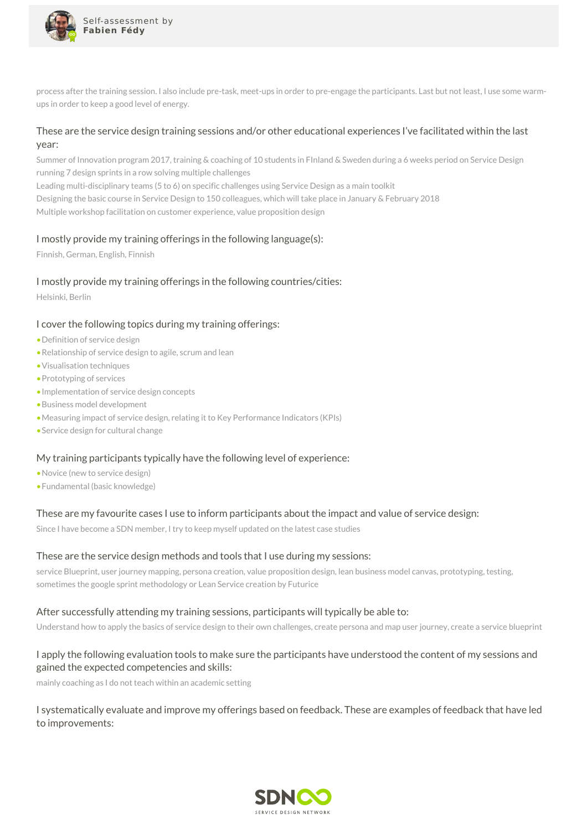

process after the training session. I also include pre-task, meet-ups in order to pre-engage the participants. Last but not least, I use some warmups in order to keep a good level of energy.

## These are the service design training sessions and/or other educational experiences I've facilitated within the last year:

Summer of Innovation program 2017, training & coaching of 10 students in FInland & Sweden during a 6 weeks period on Service Design running 7 design sprints in a row solving multiple challenges Leading multi-disciplinary teams (5 to 6) on specific challenges using Service Design as a main toolkit Designing the basic course in Service Design to 150 colleagues, which will take place in January & February 2018 Multiple workshop facilitation on customer experience, value proposition design

## I mostly provide my training offerings in the following language(s):

Finnish, German, English, Finnish

## I mostly provide my training offerings in the following countries/cities:

Helsinki, Berlin

## I cover the following topics during my training offerings:

- •Definition of service design
- •Relationship of service design to agile, scrum and lean
- •Visualisation techniques
- •Prototyping of services
- •Implementation of service design concepts
- •Business model development
- •Measuring impact of service design, relating it to Key Performance Indicators (KPIs)
- •Service design for cultural change

## My training participants typically have the following level of experience:

- •Novice (new to service design)
- •Fundamental (basic knowledge)

## These are my favourite cases I use to inform participants about the impact and value of service design:

Since I have become a SDN member, I try to keep myself updated on the latest case studies

#### These are the service design methods and tools that I use during my sessions:

service Blueprint, user journey mapping, persona creation, value proposition design, lean business model canvas, prototyping, testing, sometimes the google sprint methodology or Lean Service creation by Futurice

#### After successfully attending my training sessions, participants will typically be able to:

Understand how to apply the basics of service design to their own challenges, create persona and map user journey, create a service blueprint

## I apply the following evaluation tools to make sure the participants have understood the content of my sessions and gained the expected competencies and skills:

mainly coaching as I do not teach within an academic setting

I systematically evaluate and improve my offerings based on feedback. These are examples of feedback that have led to improvements: